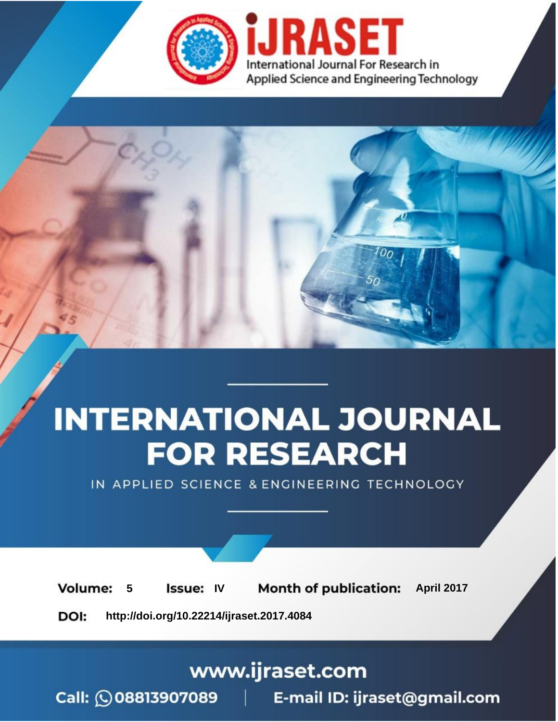

# **INTERNATIONAL JOURNAL FOR RESEARCH**

IN APPLIED SCIENCE & ENGINEERING TECHNOLOGY

**5 Issue: IV Month of publication:** April 2017 **Volume:** 

**http://doi.org/10.22214/ijraset.2017.4084**DOI:

www.ijraset.com

Call: 008813907089 | E-mail ID: ijraset@gmail.com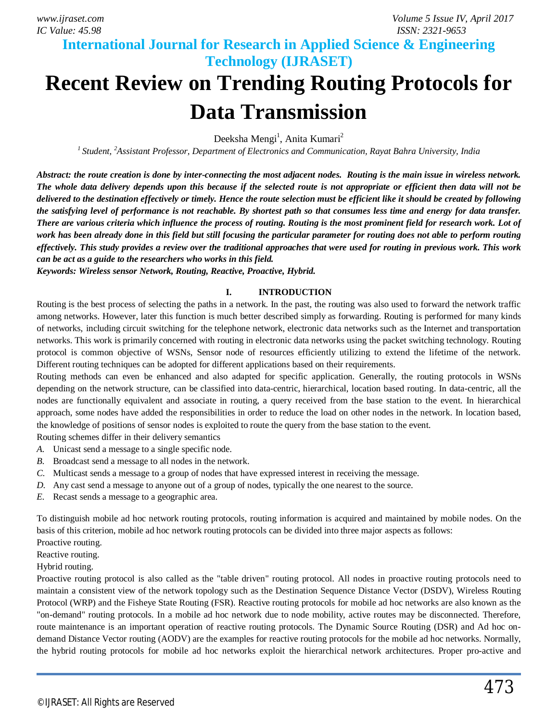**International Journal for Research in Applied Science & Engineering Technology (IJRASET)**

## **Recent Review on Trending Routing Protocols for Data Transmission**

Deeksha Mengi<sup>1</sup>, Anita Kumari<sup>2</sup>

*<sup>1</sup>Student, <sup>2</sup>Assistant Professor, Department of Electronics and Communication, Rayat Bahra University, India*

*Abstract: the route creation is done by inter-connecting the most adjacent nodes. Routing is the main issue in wireless network. The whole data delivery depends upon this because if the selected route is not appropriate or efficient then data will not be delivered to the destination effectively or timely. Hence the route selection must be efficient like it should be created by following the satisfying level of performance is not reachable. By shortest path so that consumes less time and energy for data transfer. There are various criteria which influence the process of routing. Routing is the most prominent field for research work. Lot of work has been already done in this field but still focusing the particular parameter for routing does not able to perform routing effectively. This study provides a review over the traditional approaches that were used for routing in previous work. This work can be act as a guide to the researchers who works in this field.*

*Keywords: Wireless sensor Network, Routing, Reactive, Proactive, Hybrid.*

### **I. INTRODUCTION**

Routing is the best process of selecting the paths in a network. In the past, the routing was also used to forward the network traffic among networks. However, later this function is much better described simply as forwarding. Routing is performed for many kinds of networks, including circuit switching for the telephone network, electronic data networks such as the Internet and transportation networks. This work is primarily concerned with routing in electronic data networks using the packet switching technology. Routing protocol is common objective of WSNs, Sensor node of resources efficiently utilizing to extend the lifetime of the network. Different routing techniques can be adopted for different applications based on their requirements.

Routing methods can even be enhanced and also adapted for specific application. Generally, the routing protocols in WSNs depending on the network structure, can be classified into data-centric, hierarchical, location based routing. In data-centric, all the nodes are functionally equivalent and associate in routing, a query received from the base station to the event. In hierarchical approach, some nodes have added the responsibilities in order to reduce the load on other nodes in the network. In location based, the knowledge of positions of sensor nodes is exploited to route the query from the base station to the event.

Routing schemes differ in their delivery semantics

- *A.* Unicast send a message to a single specific node.
- *B.* Broadcast send a message to all nodes in the network.
- *C.* Multicast sends a message to a group of nodes that have expressed interest in receiving the message.
- *D.* Any cast send a message to anyone out of a group of nodes, typically the one nearest to the source.
- *E.* Recast sends a message to a geographic area.

To distinguish mobile ad hoc network routing protocols, routing information is acquired and maintained by mobile nodes. On the basis of this criterion, mobile ad hoc network routing protocols can be divided into three major aspects as follows:

Proactive routing.

Reactive routing.

Hybrid routing.

Proactive routing protocol is also called as the "table driven" routing protocol. All nodes in proactive routing protocols need to maintain a consistent view of the network topology such as the Destination Sequence Distance Vector (DSDV), Wireless Routing Protocol (WRP) and the Fisheye State Routing (FSR). Reactive routing protocols for mobile ad hoc networks are also known as the "on-demand" routing protocols. In a mobile ad hoc network due to node mobility, active routes may be disconnected. Therefore, route maintenance is an important operation of reactive routing protocols. The Dynamic Source Routing (DSR) and Ad hoc ondemand Distance Vector routing (AODV) are the examples for reactive routing protocols for the mobile ad hoc networks. Normally, the hybrid routing protocols for mobile ad hoc networks exploit the hierarchical network architectures. Proper pro-active and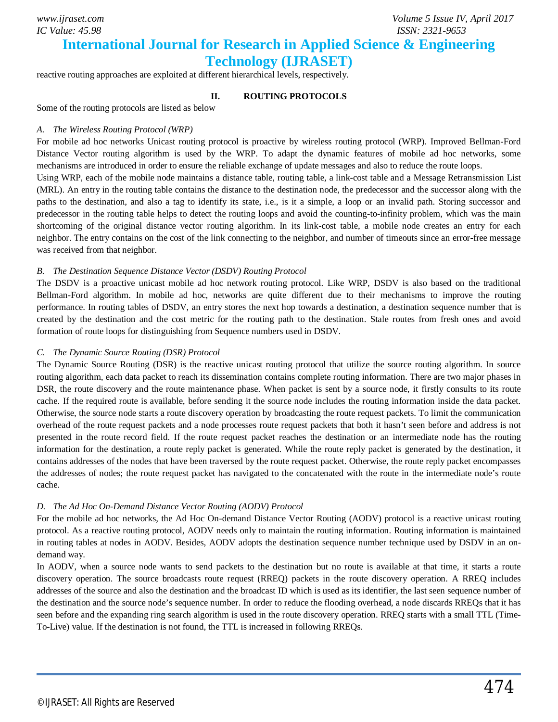**International Journal for Research in Applied Science & Engineering** 

### **Technology (IJRASET)**

reactive routing approaches are exploited at different hierarchical levels, respectively.

### **II. ROUTING PROTOCOLS**

Some of the routing protocols are listed as below

#### *A. The Wireless Routing Protocol (WRP)*

For mobile ad hoc networks Unicast routing protocol is proactive by wireless routing protocol (WRP). Improved Bellman-Ford Distance Vector routing algorithm is used by the WRP. To adapt the dynamic features of mobile ad hoc networks, some mechanisms are introduced in order to ensure the reliable exchange of update messages and also to reduce the route loops.

Using WRP, each of the mobile node maintains a distance table, routing table, a link-cost table and a Message Retransmission List (MRL). An entry in the routing table contains the distance to the destination node, the predecessor and the successor along with the paths to the destination, and also a tag to identify its state, i.e., is it a simple, a loop or an invalid path. Storing successor and predecessor in the routing table helps to detect the routing loops and avoid the counting-to-infinity problem, which was the main shortcoming of the original distance vector routing algorithm. In its link-cost table, a mobile node creates an entry for each neighbor. The entry contains on the cost of the link connecting to the neighbor, and number of timeouts since an error-free message was received from that neighbor.

### *B. The Destination Sequence Distance Vector (DSDV) Routing Protocol*

The DSDV is a proactive unicast mobile ad hoc network routing protocol. Like WRP, DSDV is also based on the traditional Bellman-Ford algorithm. In mobile ad hoc, networks are quite different due to their mechanisms to improve the routing performance. In routing tables of DSDV, an entry stores the next hop towards a destination, a destination sequence number that is created by the destination and the cost metric for the routing path to the destination. Stale routes from fresh ones and avoid formation of route loops for distinguishing from Sequence numbers used in DSDV.

#### *C. The Dynamic Source Routing (DSR) Protocol*

The Dynamic Source Routing (DSR) is the reactive unicast routing protocol that utilize the source routing algorithm. In source routing algorithm, each data packet to reach its dissemination contains complete routing information. There are two major phases in DSR, the route discovery and the route maintenance phase. When packet is sent by a source node, it firstly consults to its route cache. If the required route is available, before sending it the source node includes the routing information inside the data packet. Otherwise, the source node starts a route discovery operation by broadcasting the route request packets. To limit the communication overhead of the route request packets and a node processes route request packets that both it hasn't seen before and address is not presented in the route record field. If the route request packet reaches the destination or an intermediate node has the routing information for the destination, a route reply packet is generated. While the route reply packet is generated by the destination, it contains addresses of the nodes that have been traversed by the route request packet. Otherwise, the route reply packet encompasses the addresses of nodes; the route request packet has navigated to the concatenated with the route in the intermediate node's route cache.

### *D. The Ad Hoc On-Demand Distance Vector Routing (AODV) Protocol*

For the mobile ad hoc networks, the Ad Hoc On-demand Distance Vector Routing (AODV) protocol is a reactive unicast routing protocol. As a reactive routing protocol, AODV needs only to maintain the routing information. Routing information is maintained in routing tables at nodes in AODV. Besides, AODV adopts the destination sequence number technique used by DSDV in an ondemand way.

In AODV, when a source node wants to send packets to the destination but no route is available at that time, it starts a route discovery operation. The source broadcasts route request (RREQ) packets in the route discovery operation. A RREQ includes addresses of the source and also the destination and the broadcast ID which is used as its identifier, the last seen sequence number of the destination and the source node's sequence number. In order to reduce the flooding overhead, a node discards RREQs that it has seen before and the expanding ring search algorithm is used in the route discovery operation. RREQ starts with a small TTL (Time-To-Live) value. If the destination is not found, the TTL is increased in following RREQs.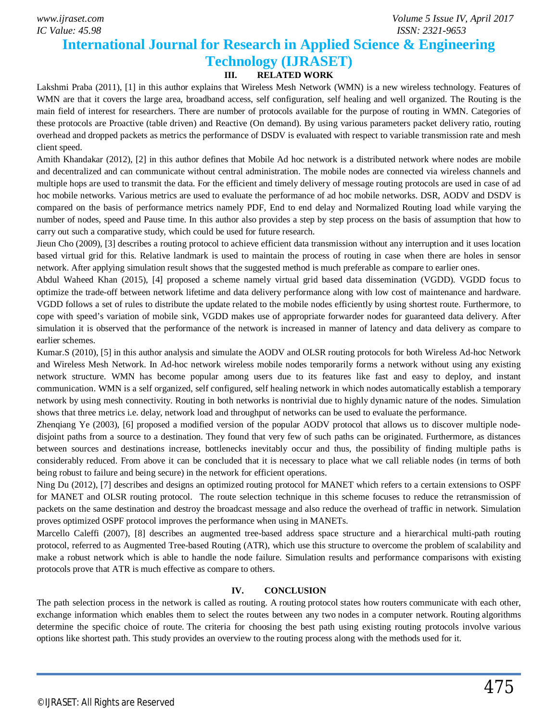*IC Value: 45.98 ISSN: 2321-9653*

### **International Journal for Research in Applied Science & Engineering Technology (IJRASET)**

### **III. RELATED WORK**

Lakshmi Praba (2011), [1] in this author explains that Wireless Mesh Network (WMN) is a new wireless technology. Features of WMN are that it covers the large area, broadband access, self configuration, self healing and well organized. The Routing is the main field of interest for researchers. There are number of protocols available for the purpose of routing in WMN. Categories of these protocols are Proactive (table driven) and Reactive (On demand). By using various parameters packet delivery ratio, routing overhead and dropped packets as metrics the performance of DSDV is evaluated with respect to variable transmission rate and mesh client speed.

Amith Khandakar (2012), [2] in this author defines that Mobile Ad hoc network is a distributed network where nodes are mobile and decentralized and can communicate without central administration. The mobile nodes are connected via wireless channels and multiple hops are used to transmit the data. For the efficient and timely delivery of message routing protocols are used in case of ad hoc mobile networks. Various metrics are used to evaluate the performance of ad hoc mobile networks. DSR, AODV and DSDV is compared on the basis of performance metrics namely PDF, End to end delay and Normalized Routing load while varying the number of nodes, speed and Pause time. In this author also provides a step by step process on the basis of assumption that how to carry out such a comparative study, which could be used for future research.

Jieun Cho (2009), [3] describes a routing protocol to achieve efficient data transmission without any interruption and it uses location based virtual grid for this. Relative landmark is used to maintain the process of routing in case when there are holes in sensor network. After applying simulation result shows that the suggested method is much preferable as compare to earlier ones.

Abdul Waheed Khan (2015), [4] proposed a scheme namely virtual grid based data dissemination (VGDD). VGDD focus to optimize the trade-off between network lifetime and data delivery performance along with low cost of maintenance and hardware. VGDD follows a set of rules to distribute the update related to the mobile nodes efficiently by using shortest route. Furthermore, to cope with speed's variation of mobile sink, VGDD makes use of appropriate forwarder nodes for guaranteed data delivery. After simulation it is observed that the performance of the network is increased in manner of latency and data delivery as compare to earlier schemes.

Kumar.S (2010), [5] in this author analysis and simulate the AODV and OLSR routing protocols for both Wireless Ad-hoc Network and Wireless Mesh Network. In Ad-hoc network wireless mobile nodes temporarily forms a network without using any existing network structure. WMN has become popular among users due to its features like fast and easy to deploy, and instant communication. WMN is a self organized, self configured, self healing network in which nodes automatically establish a temporary network by using mesh connectivity. Routing in both networks is nontrivial due to highly dynamic nature of the nodes. Simulation shows that three metrics i.e. delay, network load and throughput of networks can be used to evaluate the performance.

Zhenqiang Ye (2003), [6] proposed a modified version of the popular AODV protocol that allows us to discover multiple nodedisjoint paths from a source to a destination. They found that very few of such paths can be originated. Furthermore, as distances between sources and destinations increase, bottlenecks inevitably occur and thus, the possibility of finding multiple paths is considerably reduced. From above it can be concluded that it is necessary to place what we call reliable nodes (in terms of both being robust to failure and being secure) in the network for efficient operations.

Ning Du (2012), [7] describes and designs an optimized routing protocol for MANET which refers to a certain extensions to OSPF for MANET and OLSR routing protocol. The route selection technique in this scheme focuses to reduce the retransmission of packets on the same destination and destroy the broadcast message and also reduce the overhead of traffic in network. Simulation proves optimized OSPF protocol improves the performance when using in MANETs.

Marcello Caleffi (2007), [8] describes an augmented tree-based address space structure and a hierarchical multi-path routing protocol, referred to as Augmented Tree-based Routing (ATR), which use this structure to overcome the problem of scalability and make a robust network which is able to handle the node failure. Simulation results and performance comparisons with existing protocols prove that ATR is much effective as compare to others.

#### **IV. CONCLUSION**

The path selection process in the network is called as routing. A routing protocol states how routers communicate with each other, exchange information which enables them to select the routes between any two nodes in a computer network. Routing algorithms determine the specific choice of route. The criteria for choosing the best path using existing routing protocols involve various options like shortest path. This study provides an overview to the routing process along with the methods used for it.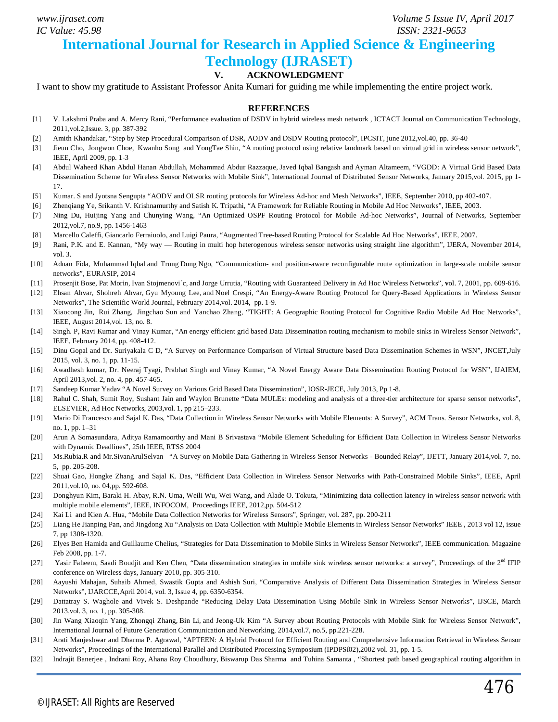*IC Value: 45.98 ISSN: 2321-9653*

*www.ijraset.com Volume 5 Issue IV, April 2017*

### **International Journal for Research in Applied Science & Engineering**

### **Technology (IJRASET)**

### **V. ACKNOWLEDGMENT**

I want to show my gratitude to Assistant Professor Anita Kumari for guiding me while implementing the entire project work.

#### **REFERENCES**

- [1] V. Lakshmi Praba and A. Mercy Rani, "Performance evaluation of DSDV in hybrid wireless mesh network , ICTACT Journal on Communication Technology, 2011,vol.2,Issue. 3, pp. 387-392
- [2] Amith Khandakar, "Step by Step Procedural Comparison of DSR, AODV and DSDV Routing protocol", IPCSIT, june 2012,vol.40, pp. 36-40
- [3] Jieun Cho, Jongwon Choe, Kwanho Song and YongTae Shin, "A routing protocol using relative landmark based on virtual grid in wireless sensor network", IEEE, April 2009, pp. 1-3
- [4] Abdul Waheed Khan Abdul Hanan Abdullah, Mohammad Abdur Razzaque, Javed Iqbal Bangash and Ayman Altameem, "VGDD: A Virtual Grid Based Data Dissemination Scheme for Wireless Sensor Networks with Mobile Sink", International Journal of Distributed Sensor Networks, January 2015,vol. 2015, pp 1- 17.
- [5] Kumar. S and Jyotsna Sengupta "AODV and OLSR routing protocols for Wireless Ad-hoc and Mesh Networks", IEEE, September 2010, pp 402-407.
- [6] Zhenqiang Ye, Srikanth V. Krishnamurthy and Satish K. Tripathi, "A Framework for Reliable Routing in Mobile Ad Hoc Networks", IEEE, 2003.
- [7] Ning Du, Huijing Yang and Chunying Wang, "An Optimized OSPF Routing Protocol for Mobile Ad-hoc Networks", Journal of Networks, September 2012,vol.7, no.9, pp. 1456-1463
- [8] Marcello Caleffi, Giancarlo Ferraiuolo, and Luigi Paura, "Augmented Tree-based Routing Protocol for Scalable Ad Hoc Networks", IEEE, 2007.
- [9] Rani, P.K. and E. Kannan, "My way Routing in multi hop heterogenous wireless sensor networks using straight line algorithm", IJERA, November 2014, vol. 3.
- [10] Adnan Fida, Muhammad Iqbal and Trung Dung Ngo, "Communication- and position-aware reconfigurable route optimization in large-scale mobile sensor networks", EURASIP, 2014
- [11] Prosenjit Bose, Pat Morin, Ivan Stojmenovi´c, and Jorge Urrutia, "Routing with Guaranteed Delivery in Ad Hoc Wireless Networks", **v**ol. 7, 2001, pp. 609-616.
- [12] Ehsan Ahvar, Shohreh Ahvar, Gyu Myoung Lee, and Noel Crespi, "An Energy-Aware Routing Protocol for Query-Based Applications in Wireless Sensor Networks", The Scientific World Journal, February 2014, vol. 2014, pp. 1-9.
- [13] Xiaocong Jin, Rui Zhang, Jingchao Sun and Yanchao Zhang, "TIGHT: A Geographic Routing Protocol for Cognitive Radio Mobile Ad Hoc Networks", IEEE, August 2014,vol. 13, no. 8.
- [14] Singh. P, Ravi Kumar and Vinay Kumar, "An energy efficient grid based Data Dissemination routing mechanism to mobile sinks in Wireless Sensor Network", IEEE, February 2014, pp. 408-412.
- [15] Dinu Gopal and Dr. Suriyakala C D, "A Survey on Performance Comparison of Virtual Structure based Data Dissemination Schemes in WSN", JNCET,July 2015, vol. 3, no. 1, pp. 11-15.
- [16] Awadhesh kumar, Dr. Neeraj Tyagi, Prabhat Singh and Vinay Kumar, "A Novel Energy Aware Data Dissemination Routing Protocol for WSN", IJAIEM, April 2013,vol. 2, no. 4, pp. 457-465.
- [17] Sandeep Kumar Yadav "A Novel Survey on Various Grid Based Data Dissemination", IOSR-JECE, July 2013, Pp 1-8.
- [18] Rahul C. Shah, Sumit Roy, Sushant Jain and Waylon Brunette "Data MULEs: modeling and analysis of a three-tier architecture for sparse sensor networks", ELSEVIER, Ad Hoc Networks, 2003,vol. 1, pp 215–233.
- [19] Mario Di Francesco and Sajal K. Das, "Data Collection in Wireless Sensor Networks with Mobile Elements: A Survey", ACM Trans. Sensor Networks, vol. 8, no. 1, pp. 1–31
- [20] Arun A Somasundara, Aditya Ramamoorthy and Mani B Srivastava "Mobile Element Scheduling for Efficient Data Collection in Wireless Sensor Networks with Dynamic Deadlines", 25th IEEE, RTSS 2004
- [21] Ms.Rubia.R and Mr.SivanArulSelvan "A Survey on Mobile Data Gathering in Wireless Sensor Networks Bounded Relay", IJETT, January 2014,vol. 7, no. 5, pp. 205-208.
- [22] Shuai Gao, Hongke Zhang and Sajal K. Das, "Efficient Data Collection in Wireless Sensor Networks with Path-Constrained Mobile Sinks", IEEE, April 2011,vol.10, no. 04,pp. 592-608.
- [23] Donghyun Kim, Baraki H. Abay, R.N. Uma, Weili Wu, Wei Wang, and Alade O. Tokuta, "Minimizing data collection latency in wireless sensor network with multiple mobile elements", IEEE, INFOCOM, Proceedings IEEE, 2012,pp. 504-512
- [24] Kai Li and Kien A. Hua, "Mobile Data Collection Networks for Wireless Sensors", Springer, vol. 287, pp. 200-211
- [25] Liang He Jianping Pan, and Jingdong Xu "Analysis on Data Collection with Multiple Mobile Elements in Wireless Sensor Networks" IEEE , 2013 vol 12, issue 7, pp 1308-1320.
- [26] Elyes Ben Hamida and Guillaume Chelius, "Strategies for Data Dissemination to Mobile Sinks in Wireless Sensor Networks", IEEE communication. Magazine Feb 2008, pp. 1-7.
- [27] Yasir Faheem, Saadi Boudjit and Ken Chen, "Data dissemination strategies in mobile sink wireless sensor networks: a survey", Proceedings of the  $2<sup>nd</sup> IFIP$ conference on Wireless days, January 2010, pp. 305-310.
- [28] Aayushi Mahajan, Suhaib Ahmed, Swastik Gupta and Ashish Suri, "Comparative Analysis of Different Data Dissemination Strategies in Wireless Sensor Networks", IJARCCE,April 2014, vol. 3, Issue 4, pp. 6350-6354.
- [29] Dattatray S. Waghole and Vivek S. Deshpande "Reducing Delay Data Dissemination Using Mobile Sink in Wireless Sensor Networks", IJSCE, March 2013,vol. 3, no. 1, pp. 305-308.
- [30] Jin Wang Xiaoqin Yang, Zhongqi Zhang, Bin Li, and Jeong-Uk Kim "A Survey about Routing Protocols with Mobile Sink for Wireless Sensor Network", International Journal of Future Generation Communication and Networking, 2014,vol.7, no.5, pp.221-228.
- [31] Arati Manjeshwar and Dharma P. Agrawal, "APTEEN: A Hybrid Protocol for Efficient Routing and Comprehensive Information Retrieval in Wireless Sensor Networks", Proceedings of the International Parallel and Distributed Processing Symposium (IPDPSí02),2002 vol. 31, pp. 1-5.
- [32] Indrajit Banerjee , Indrani Roy, Ahana Roy Choudhury, Biswarup Das Sharma and Tuhina Samanta , "Shortest path based geographical routing algorithm in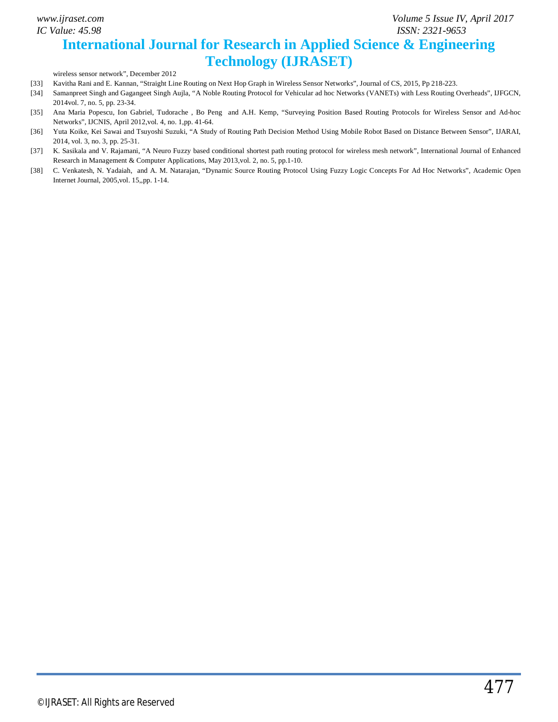### **International Journal for Research in Applied Science & Engineering Technology (IJRASET)**

wireless sensor network", December 2012

- [33] Kavitha Rani and E. Kannan, "Straight Line Routing on Next Hop Graph in Wireless Sensor Networks", Journal of CS, 2015, Pp 218-223.
- [34] Samanpreet Singh and Gagangeet Singh Aujla, "A Noble Routing Protocol for Vehicular ad hoc Networks (VANETs) with Less Routing Overheads", IJFGCN, 2014vol. 7, no. 5, pp. 23-34.
- [35] Ana Maria Popescu, Ion Gabriel, Tudorache , Bo Peng and A.H. Kemp, "Surveying Position Based Routing Protocols for Wireless Sensor and Ad-hoc Networks", IJCNIS, April 2012,vol. 4, no. 1,pp. 41-64.
- [36] Yuta Koike, Kei Sawai and Tsuyoshi Suzuki, "A Study of Routing Path Decision Method Using Mobile Robot Based on Distance Between Sensor", IJARAI, 2014, vol. 3, no. 3, pp. 25-31.
- [37] K. Sasikala and V. Rajamani, "A Neuro Fuzzy based conditional shortest path routing protocol for wireless mesh network", International Journal of Enhanced Research in Management & Computer Applications, May 2013,vol. 2, no. 5, pp.1-10.
- [38] C. Venkatesh, N. Yadaiah, and A. M. Natarajan, "Dynamic Source Routing Protocol Using Fuzzy Logic Concepts For Ad Hoc Networks", Academic Open Internet Journal, 2005,vol. 15,,pp. 1-14.